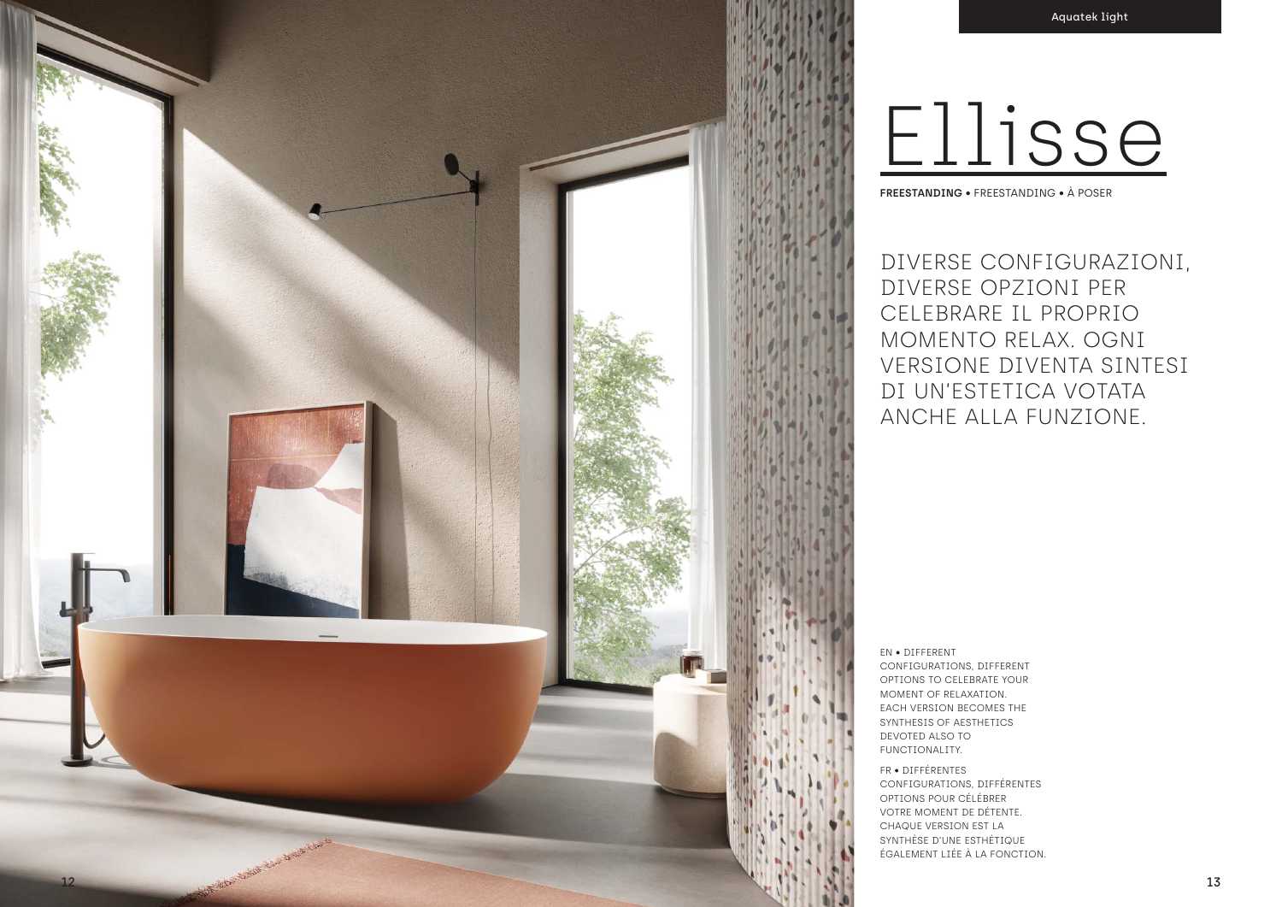EN • DIFFERENT CONFIGURATIONS, DIFFERENT OPTIONS TO CELEBRATE YOUR MOMENT OF RELAXATION. EACH VERSION BECOMES THE SYNTHESIS OF AESTHETICS DEVOTED ALSO TO FUNCTIONALITY.

DIVERSE CONFIGURAZIONI, DIVERSE OPZIONI PER CELEBRARE IL PROPRIO MOMENTO RELAX. OGNI VERSIONE DIVENTA SINTESI DI UN'ESTETICA VOTATA ANCHE ALLA FUNZIONE. **FREESTANDING** • FREESTANDING • À POSER

FR • DIFFÉRENTES CONFIGURATIONS, DIFFÉRENTES OPTIONS POUR CÉLÉBRER VOTRE MOMENT DE DÉTENTE. CHAQUE VERSION EST LA SYNTHÈSE D'UNE ESTHÉTIQUE ÉGALEMENT LIÉE À LA FONCTION.

# Ellisse

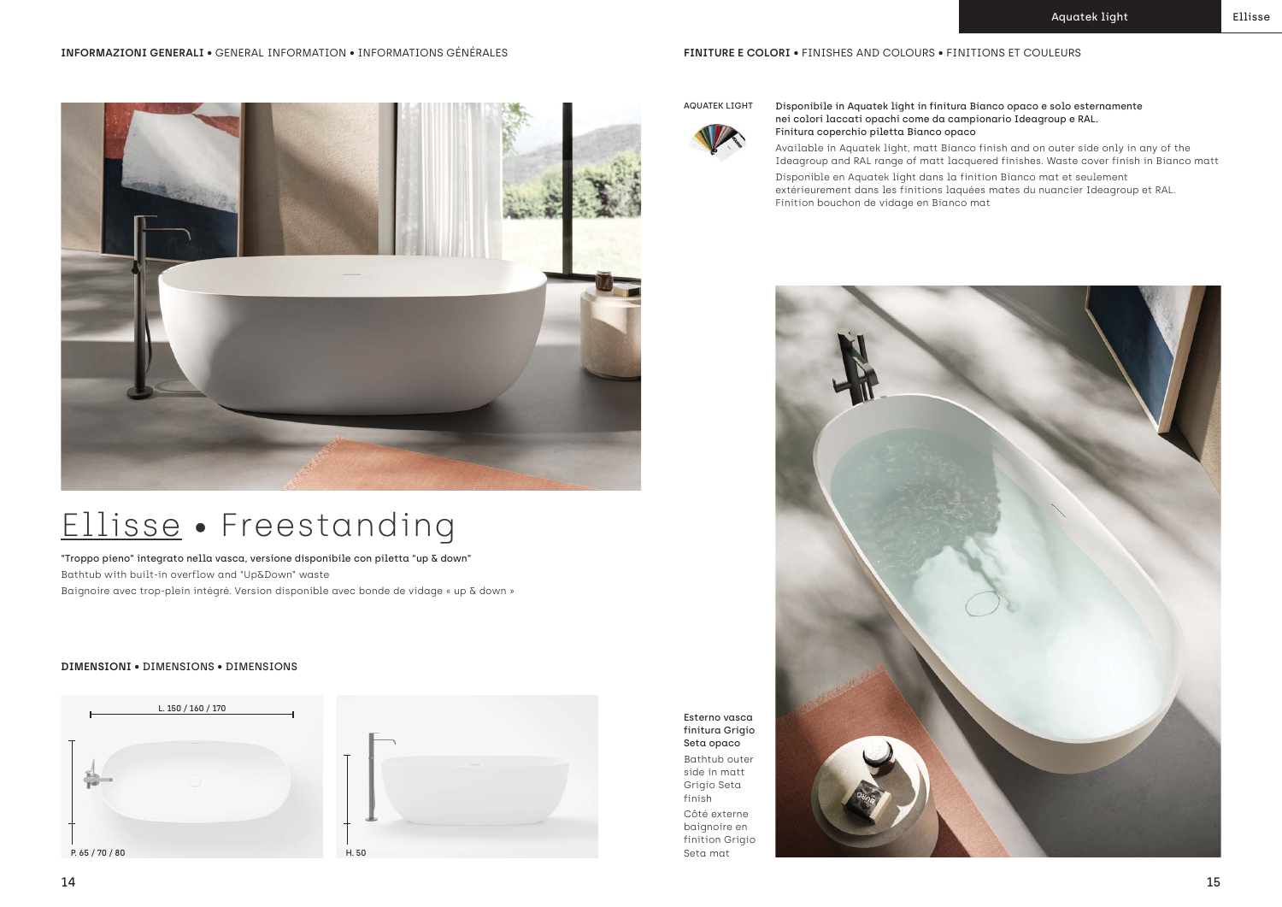### Ellisse • Freestanding



"Troppo pieno" integrato nella vasca, versione disponibile con piletta "up & down" Bathtub with built-in overflow and "Up&Down" waste Baignoire avec trop-plein intégré. Version disponible avec bonde de vidage « up & down »

### AQUATEK LIGHT Disponibile in Aquatek light in finitura Bianco opaco e solo esternamente nei colori laccati opachi come da campionario Ideagroup e RAL. Finitura coperchio piletta Bianco opaco

- Available in Aquatek light, matt Bianco finish and on outer side only in any of the Ideagroup and RAL range of matt lacquered finishes. Waste cover finish in Bianco matt
	-
- extérieurement dans les finitions laquées mates du nuancier Ideagroup et RAL.

Disponible en Aquatek light dans la finition Bianco mat et seulement Finition bouchon de vidage en Bianco mat



Esterno vasca finitura Grigio Seta opaco Bathtub outer side in matt Grigio Seta finish Côté externe baignoire en finition Grigio Seta mat



### **DIMENSIONI** • DIMENSIONS • DIMENSIONS



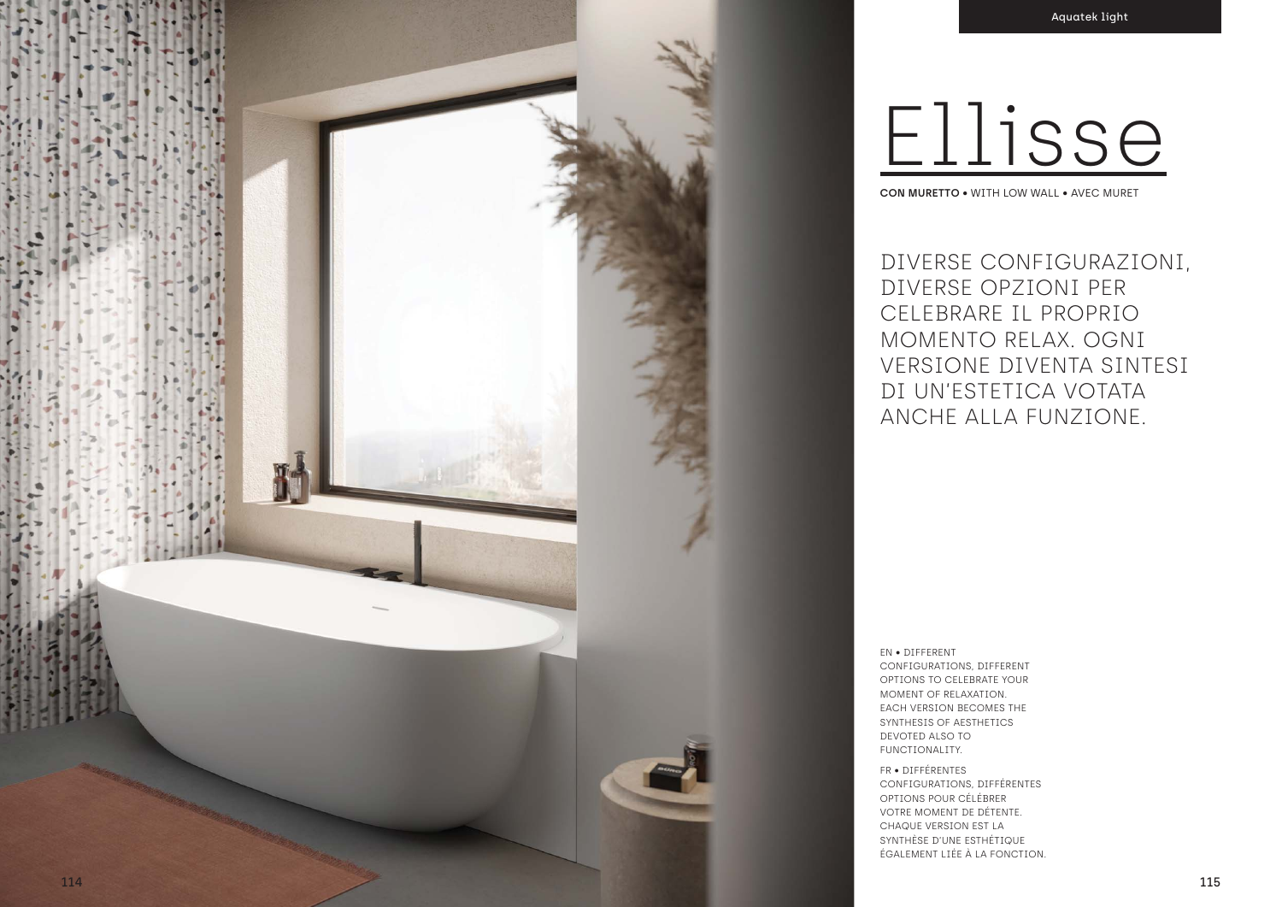

## Ellisse CON MURETTO . WITH LOW WALL . AVEC MURET

DIVERSE CONFIGURAZIONI, DIVERSE OPZIONI PER CELEBRARE IL PROPRIO MOMENTO RELAX. OGNI VERSIONE DIVENTA SINTESI DI UN'ESTETICA VOTATA ANCHE ALLA FUNZIONE.

EN . DIFFERENT CONFIGURATIONS, DIFFERENT OPTIONS TO CELEBRATE YOUR MOMENT OF RELAXATION. EACH VERSION BECOMES THE SYNTHESIS OF AESTHETICS DEVOTED ALSO TO FUNCTIONALITY.

FR · DIFFÉRENTES CONFIGURATIONS, DIFFÉRENTES OPTIONS POUR CÉLÉBRER VOTRE MOMENT DE DÉTENTE. CHAQUE VERSION EST LA SYNTHÈSE D'UNE ESTHÉTIQUE ÉGALEMENT LIÉE À LA FONCTION.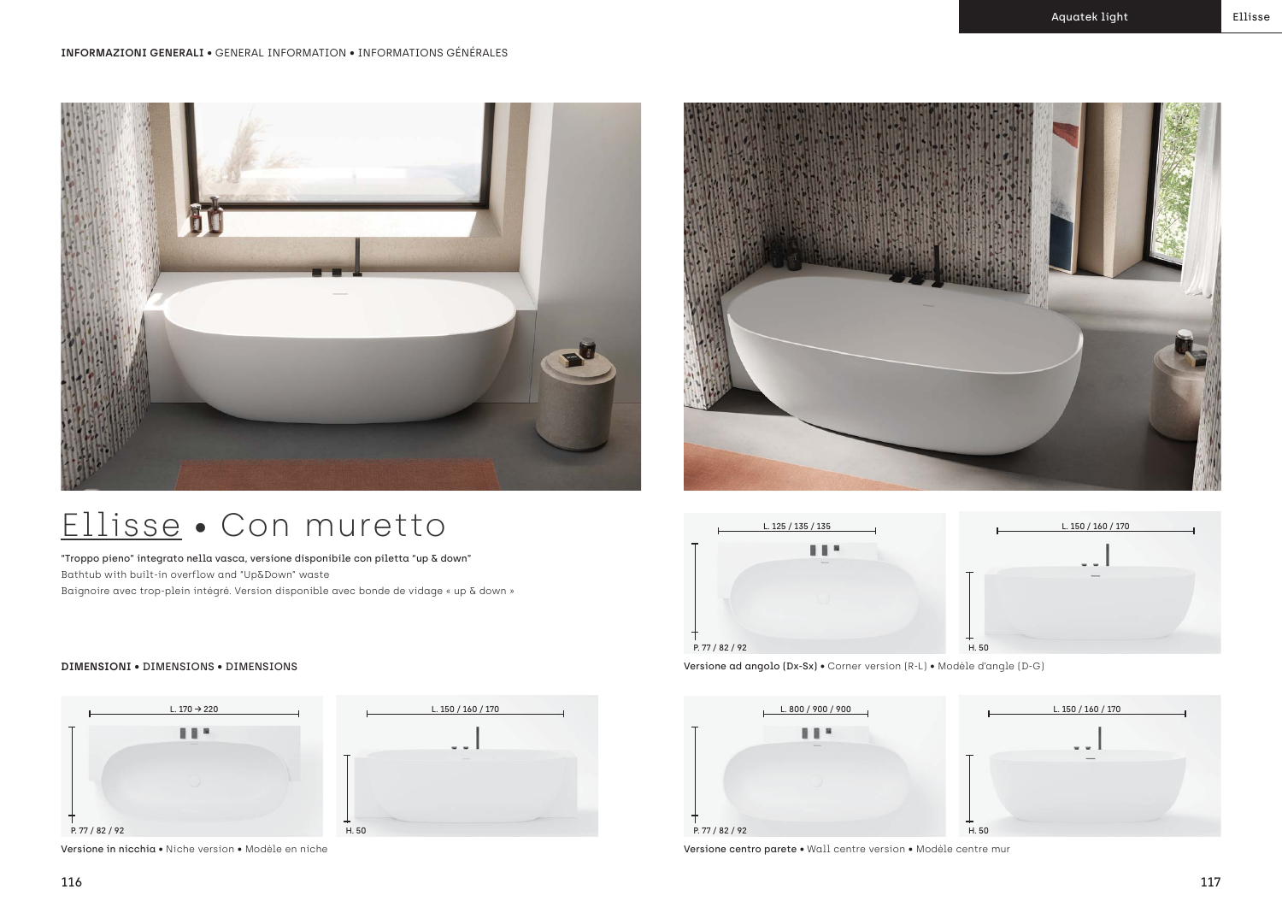

"Troppo pieno" integrato nella vasca, versione disponibile con piletta "up & down" Bathtub with built-in overflow and "Up&Down" waste Baignoire avec trop-plein intégré. Version disponible avec bonde de vidage « up & down »



Versione centro parete • Wall centre version • Modèle centre mur



**DIMENSIONI** • DIMENSIONS • DIMENSIONS Versione ad angolo (Dx-Sx) • Corner version (R-L) • Modèle d'angle (D-G)

## Ellisse • Con muretto



Versione in nicchia • Niche version • Modèle en niche